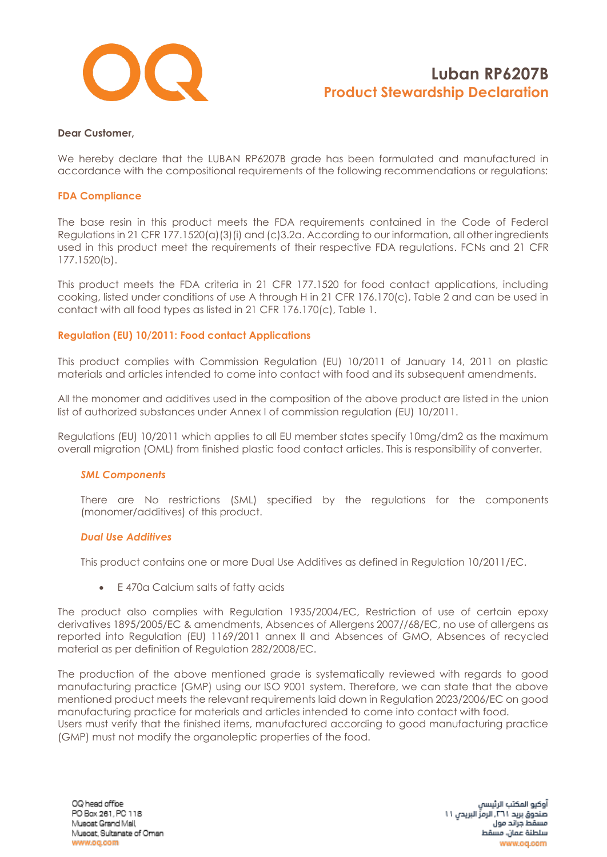

#### **Dear Customer,**

We hereby declare that the LUBAN RP6207B grade has been formulated and manufactured in accordance with the compositional requirements of the following recommendations or regulations:

#### **FDA Compliance**

The base resin in this product meets the FDA requirements contained in the Code of Federal Regulations in 21 CFR 177.1520(a)(3)(i) and (c)3.2a. According to our information, all other ingredients used in this product meet the requirements of their respective FDA regulations. FCNs and 21 CFR 177.1520(b).

This product meets the FDA criteria in 21 CFR 177.1520 for food contact applications, including cooking, listed under conditions of use A through H in 21 CFR 176.170(c), Table 2 and can be used in contact with all food types as listed in 21 CFR 176.170(c), Table 1.

### **Regulation (EU) 10/2011: Food contact Applications**

This product complies with Commission Regulation (EU) 10/2011 of January 14, 2011 on plastic materials and articles intended to come into contact with food and its subsequent amendments.

All the monomer and additives used in the composition of the above product are listed in the union list of authorized substances under Annex I of commission regulation (EU) 10/2011.

Regulations (EU) 10/2011 which applies to all EU member states specify 10mg/dm2 as the maximum overall migration (OML) from finished plastic food contact articles. This is responsibility of converter.

#### *SML Components*

There are No restrictions (SML) specified by the regulations for the components (monomer/additives) of this product.

#### *Dual Use Additives*

This product contains one or more Dual Use Additives as defined in Regulation 10/2011/EC.

• E 470a Calcium salts of fatty acids

The product also complies with Regulation 1935/2004/EC, Restriction of use of certain epoxy derivatives 1895/2005/EC & amendments, Absences of Allergens 2007//68/EC, no use of allergens as reported into Regulation (EU) 1169/2011 annex II and Absences of GMO, Absences of recycled material as per definition of Regulation 282/2008/EC.

The production of the above mentioned grade is systematically reviewed with regards to good manufacturing practice (GMP) using our ISO 9001 system. Therefore, we can state that the above mentioned product meets the relevant requirements laid down in Regulation 2023/2006/EC on good manufacturing practice for materials and articles intended to come into contact with food. Users must verify that the finished items, manufactured according to good manufacturing practice (GMP) must not modify the organoleptic properties of the food.

OQ head office PO Box 261, PC 118 Muscat Grand Mall Muscat, Sultanate of Oman www.oq.com

أوكيو المكتب الرئيسا صندوق بريد ٢٦١. الرمزِّ البريدي ١١ مسقط جراند مول سلطنة عمان، مسقط www.oq.com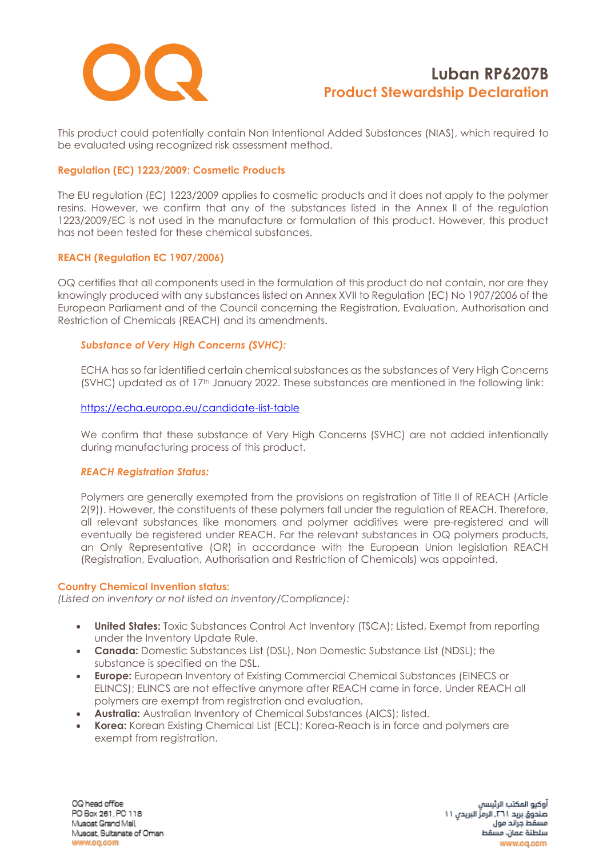

This product could potentially contain Non Intentional Added Substances (NIAS), which required to be evaluated using recognized risk assessment method.

## **Regulation (EC) 1223/2009: Cosmetic Products**

The EU regulation (EC) 1223/2009 applies to cosmetic products and it does not apply to the polymer resins. However, we confirm that any of the substances listed in the Annex II of the regulation 1223/2009/EC is not used in the manufacture or formulation of this product. However, this product has not been tested for these chemical substances.

### **REACH (Regulation EC 1907/2006)**

OQ certifies that all components used in the formulation of this product do not contain, nor are they knowingly produced with any substances listed on Annex XVII to Regulation (EC) No 1907/2006 of the European Parliament and of the Council concerning the Registration, Evaluation, Authorisation and Restriction of Chemicals (REACH) and its amendments.

## *Substance of Very High Concerns (SVHC):*

ECHA has so far identified certain chemical substances as the substances of Very High Concerns (SVHC) updated as of 17<sup>th</sup> January 2022. These substances are mentioned in the following link:

### <https://echa.europa.eu/candidate-list-table>

We confirm that these substance of Very High Concerns (SVHC) are not added intentionally during manufacturing process of this product.

### *REACH Registration Status:*

Polymers are generally exempted from the provisions on registration of Title II of REACH (Article 2(9)). However, the constituents of these polymers fall under the regulation of REACH. Therefore, all relevant substances like monomers and polymer additives were pre-registered and will eventually be registered under REACH. For the relevant substances in OQ polymers products, an Only Representative (OR) in accordance with the European Union legislation REACH (Registration, Evaluation, Authorisation and Restriction of Chemicals) was appointed.

### **Country Chemical Invention status:**

*(Listed on inventory or not listed on inventory/Compliance):*

- **United States:** Toxic Substances Control Act Inventory (TSCA); Listed, Exempt from reporting under the Inventory Update Rule.
- **Canada:** Domestic Substances List (DSL), Non Domestic Substance List (NDSL); the substance is specified on the DSL.
- **Europe:** European Inventory of Existing Commercial Chemical Substances (EINECS or ELINCS); ELINCS are not effective anymore after REACH came in force. Under REACH all polymers are exempt from registration and evaluation.
- **Australia:** Australian Inventory of Chemical Substances (AICS); listed.
- **Korea:** Korean Existing Chemical List (ECL); Korea-Reach is in force and polymers are exempt from registration.

OQ head office PO Box 261, PC 118 Muscat Grand Mall Muscat, Sultanate of Oman www.oq.com

أوكيو المكتب الرئيسا صندوق بريد ٢٦١. الرمزِّ البريدي ١١ مسقط جراند مول سلطنة عمان، مسقط www.oa.com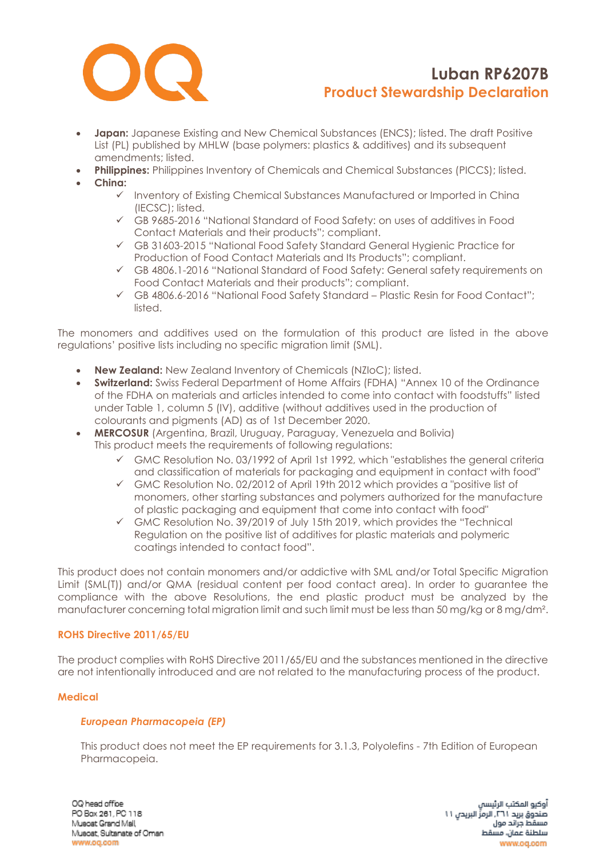

- **Japan:** Japanese Existing and New Chemical Substances (ENCS); listed. The draft Positive List (PL) published by MHLW (base polymers: plastics & additives) and its subsequent amendments; listed.
- **Philippines:** Philippines Inventory of Chemicals and Chemical Substances (PICCS); listed.
- **China:**
	- ✓ Inventory of Existing Chemical Substances Manufactured or Imported in China (IECSC); listed.
	- ✓ GB 9685-2016 "National Standard of Food Safety: on uses of additives in Food Contact Materials and their products"; compliant.
	- ✓ GB 31603-2015 "National Food Safety Standard General Hygienic Practice for Production of Food Contact Materials and Its Products"; compliant.
	- ✓ GB 4806.1-2016 "National Standard of Food Safety: General safety requirements on Food Contact Materials and their products"; compliant.
	- ✓ GB 4806.6-2016 "National Food Safety Standard Plastic Resin for Food Contact"; listed.

The monomers and additives used on the formulation of this product are listed in the above regulations' positive lists including no specific migration limit (SML).

- **New Zealand:** New Zealand Inventory of Chemicals (NZIoC); listed.
- **Switzerland:** Swiss Federal Department of Home Affairs (FDHA) "Annex 10 of the Ordinance of the FDHA on materials and articles intended to come into contact with foodstuffs" listed under Table 1, column 5 (IV), additive (without additives used in the production of colourants and pigments (AD) as of 1st December 2020.
- **MERCOSUR** (Argentina, Brazil, Uruguay, Paraguay, Venezuela and Bolivia) This product meets the requirements of following regulations:
	- $\checkmark$  GMC Resolution No. 03/1992 of April 1st 1992, which "establishes the general criteria and classification of materials for packaging and equipment in contact with food"
	- ✓ GMC Resolution No. 02/2012 of April 19th 2012 which provides a "positive list of monomers, other starting substances and polymers authorized for the manufacture of plastic packaging and equipment that come into contact with food"
	- ✓ GMC Resolution No. 39/2019 of July 15th 2019, which provides the "Technical Regulation on the positive list of additives for plastic materials and polymeric coatings intended to contact food".

This product does not contain monomers and/or addictive with SML and/or Total Specific Migration Limit (SML(T)) and/or QMA (residual content per food contact area). In order to guarantee the compliance with the above Resolutions, the end plastic product must be analyzed by the manufacturer concerning total migration limit and such limit must be less than 50 mg/kg or 8 mg/dm².

## **ROHS Directive 2011/65/EU**

The product complies with RoHS Directive 2011/65/EU and the substances mentioned in the directive are not intentionally introduced and are not related to the manufacturing process of the product.

### **Medical**

### *European Pharmacopeia (EP)*

This product does not meet the EP requirements for 3.1.3, Polyolefins - 7th Edition of European Pharmacopeia.

OQ head office PO Box 261, PC 118 Muscat Grand Mall Muscat, Sultanate of Oman www.oq.com

آوكيو المكتب الرئيسا صندوق بريد ٢٦١. الرمزِّ البريدي ١١ مسقط جراتد مول سلطنة عمان، مسقط www.og.com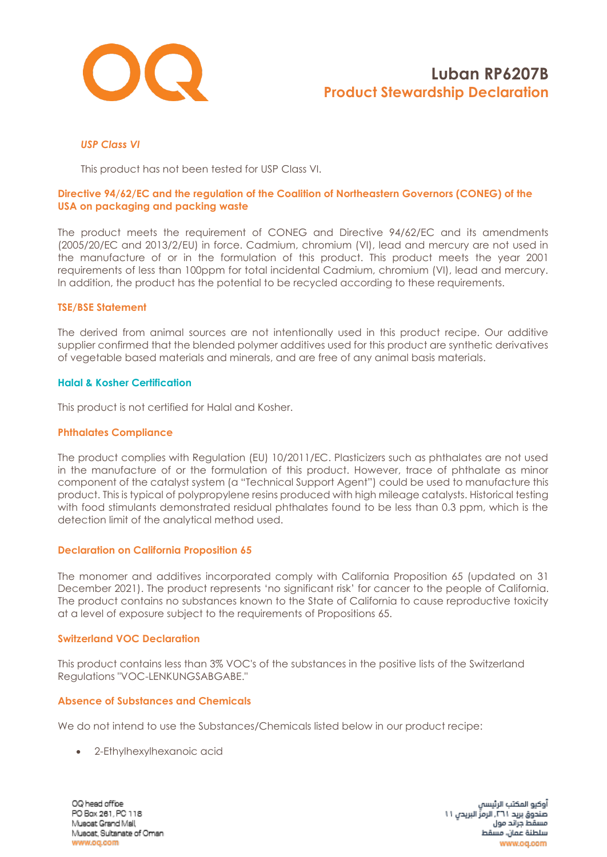

## *USP Class VI*

This product has not been tested for USP Class VI.

### **Directive 94/62/EC and the regulation of the Coalition of Northeastern Governors (CONEG) of the USA on packaging and packing waste**

The product meets the requirement of CONEG and Directive 94/62/EC and its amendments (2005/20/EC and 2013/2/EU) in force. Cadmium, chromium (VI), lead and mercury are not used in the manufacture of or in the formulation of this product. This product meets the year 2001 requirements of less than 100ppm for total incidental Cadmium, chromium (VI), lead and mercury. In addition, the product has the potential to be recycled according to these requirements.

#### **TSE/BSE Statement**

The derived from animal sources are not intentionally used in this product recipe. Our additive supplier confirmed that the blended polymer additives used for this product are synthetic derivatives of vegetable based materials and minerals, and are free of any animal basis materials.

#### **Halal & Kosher Certification**

This product is not certified for Halal and Kosher.

#### **Phthalates Compliance**

The product complies with Regulation (EU) 10/2011/EC. Plasticizers such as phthalates are not used in the manufacture of or the formulation of this product. However, trace of phthalate as minor component of the catalyst system (a "Technical Support Agent") could be used to manufacture this product. This is typical of polypropylene resins produced with high mileage catalysts. Historical testing with food stimulants demonstrated residual phthalates found to be less than 0.3 ppm, which is the detection limit of the analytical method used.

### **Declaration on California Proposition 65**

The monomer and additives incorporated comply with California Proposition 65 (updated on 31 December 2021). The product represents 'no significant risk' for cancer to the people of California. The product contains no substances known to the State of California to cause reproductive toxicity at a level of exposure subject to the requirements of Propositions 65.

#### **Switzerland VOC Declaration**

This product contains less than 3% VOC's of the substances in the positive lists of the Switzerland Regulations "VOC-LENKUNGSABGABE."

### **Absence of Substances and Chemicals**

We do not intend to use the Substances/Chemicals listed below in our product recipe:

• 2-Ethylhexylhexanoic acid

OQ head office PO Box 261, PC 118 Muscat Grand Mall Muscat, Sultanate of Oman www.oq.com

آوكيو المكتب الرئيسا صندوق بريد ٢٦١. الرمزِّ البريدي ١١ مسقط جراند مول سلطنة عمان، مسقط www.oa.com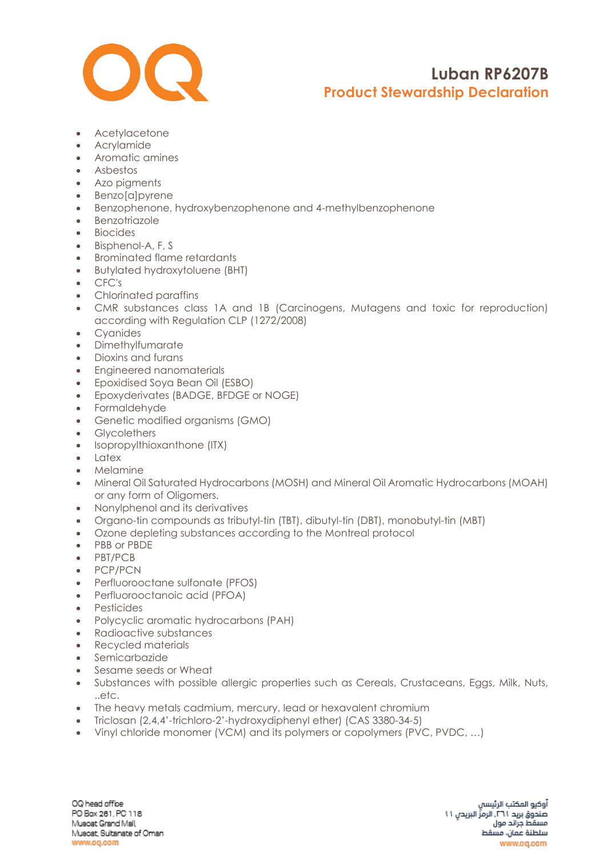

- Acetylacetone
- Acrylamide
- Aromatic amines
- Asbestos
- Azo pigments
- Benzo[a]pyrene
- Benzophenone, hydroxybenzophenone and 4-methylbenzophenone
- Benzotriazole
- Biocides
- Bisphenol-A, F, S
- Brominated flame retardants
- Butylated hydroxytoluene (BHT)
- CFC's
- Chlorinated paraffins
- CMR substances class 1A and 1B (Carcinogens, Mutagens and toxic for reproduction) according with Regulation CLP (1272/2008)
- Cyanides
- Dimethylfumarate
- Dioxins and furans
- Engineered nanomaterials
- Epoxidised Soya Bean Oil (ESBO)
- Epoxyderivates (BADGE, BFDGE or NOGE)
- Formaldehyde
- Genetic modified organisms (GMO)
- Glycolethers
- [Isopropylthioxanthone](https://www.google.com/search?rlz=1C1CHBF_enAE772AE772&q=Isopropylthioxanthone+(ITX)&spell=1&sa=X&ved=0ahUKEwjZgv6l6_fZAhWOblAKHQZfCSMQkeECCCIoAA) (ITX)
- Latex
- Melamine
- Mineral Oil Saturated Hydrocarbons (MOSH) and Mineral Oil Aromatic Hydrocarbons (MOAH) or any form of Oligomers.
- Nonylphenol and its derivatives
- Organo-tin compounds as tributyl-tin (TBT), dibutyl-tin (DBT), monobutyl-tin (MBT)
- Ozone depleting substances according to the Montreal protocol
- PBB or PBDE
- PBT/PCB
- PCP/PCN
- Perfluorooctane sulfonate (PFOS)
- Perfluorooctanoic acid (PFOA)
- Pesticides
- Polycyclic aromatic hydrocarbons (PAH)
- Radioactive substances
- Recycled materials
- Semicarbazide
- Sesame seeds or Wheat
- Substances with possible allergic properties such as Cereals, Crustaceans, Eggs, Milk, Nuts, ..etc.
- The heavy metals cadmium, mercury, lead or hexavalent chromium
- Triclosan (2,4,4'-trichloro-2'-hydroxydiphenyl ether) (CAS 3380-34-5)
- Vinyl chloride monomer (VCM) and its polymers or copolymers (PVC, PVDC, …)

OQ head office PO Box 261, PC 118 Muscat Grand Mall Muscat, Sultanate of Oman www.oq.com